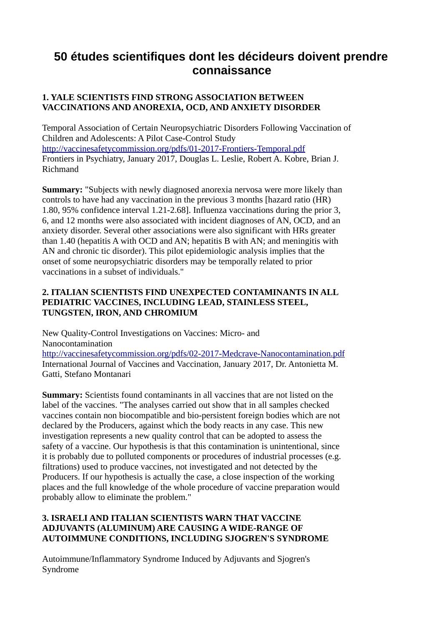# **50 études scientifiques dont les décideurs doivent prendre connaissance**

## **1. YALE SCIENTISTS FIND STRONG ASSOCIATION BETWEEN VACCINATIONS AND ANOREXIA, OCD, AND ANXIETY DISORDER**

Temporal Association of Certain Neuropsychiatric Disorders Following Vaccination of Children and Adolescents: A Pilot Case-Control Study <http://vaccinesafetycommission.org/pdfs/01-2017-Frontiers-Temporal.pdf> Frontiers in Psychiatry, January 2017, Douglas L. Leslie, Robert A. Kobre, Brian J. Richmand

**Summary:** "Subjects with newly diagnosed anorexia nervosa were more likely than controls to have had any vaccination in the previous 3 months [hazard ratio (HR) 1.80, 95% confidence interval 1.21-2.68]. Influenza vaccinations during the prior 3, 6, and 12 months were also associated with incident diagnoses of AN, OCD, and an anxiety disorder. Several other associations were also significant with HRs greater than 1.40 (hepatitis A with OCD and AN; hepatitis B with AN; and meningitis with AN and chronic tic disorder). This pilot epidemiologic analysis implies that the onset of some neuropsychiatric disorders may be temporally related to prior vaccinations in a subset of individuals."

## **2. ITALIAN SCIENTISTS FIND UNEXPECTED CONTAMINANTS IN ALL PEDIATRIC VACCINES, INCLUDING LEAD, STAINLESS STEEL, TUNGSTEN, IRON, AND CHROMIUM**

New Quality-Control Investigations on Vaccines: Micro- and Nanocontamination <http://vaccinesafetycommission.org/pdfs/02-2017-Medcrave-Nanocontamination.pdf> International Journal of Vaccines and Vaccination, January 2017, Dr. Antonietta M. Gatti, Stefano Montanari

**Summary:** Scientists found contaminants in all vaccines that are not listed on the label of the vaccines. "The analyses carried out show that in all samples checked vaccines contain non biocompatible and bio-persistent foreign bodies which are not declared by the Producers, against which the body reacts in any case. This new investigation represents a new quality control that can be adopted to assess the safety of a vaccine. Our hypothesis is that this contamination is unintentional, since it is probably due to polluted components or procedures of industrial processes (e.g. filtrations) used to produce vaccines, not investigated and not detected by the Producers. If our hypothesis is actually the case, a close inspection of the working places and the full knowledge of the whole procedure of vaccine preparation would probably allow to eliminate the problem."

## **3. ISRAELI AND ITALIAN SCIENTISTS WARN THAT VACCINE ADJUVANTS (ALUMINUM) ARE CAUSING A WIDE-RANGE OF AUTOIMMUNE CONDITIONS, INCLUDING SJOGREN'S SYNDROME**

Autoimmune/Inflammatory Syndrome Induced by Adjuvants and Sjogren's Syndrome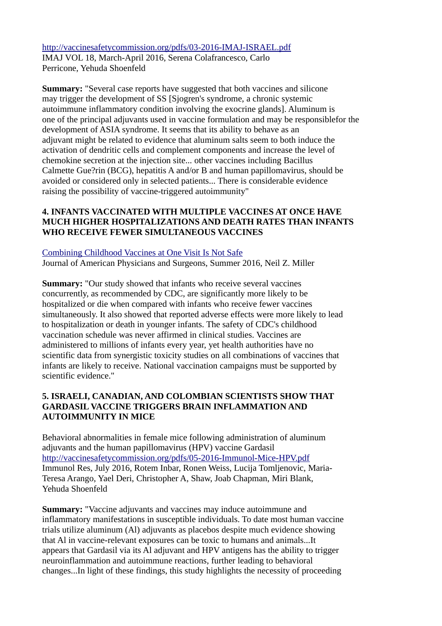<http://vaccinesafetycommission.org/pdfs/03-2016-IMAJ-ISRAEL.pdf> IMAJ VOL 18, March-April 2016, Serena Colafrancesco, Carlo Perricone, Yehuda Shoenfeld

**Summary:** "Several case reports have suggested that both vaccines and silicone may trigger the development of SS [Sjogren's syndrome, a chronic systemic autoimmune inflammatory condition involving the exocrine glands]. Aluminum is one of the principal adjuvants used in vaccine formulation and may be responsiblefor the development of ASIA syndrome. It seems that its ability to behave as an adjuvant might be related to evidence that aluminum salts seem to both induce the activation of dendritic cells and complement components and increase the level of chemokine secretion at the injection site... other vaccines including Bacillus Calmette Gue?rin (BCG), hepatitis A and/or B and human papillomavirus, should be avoided or considered only in selected patients... There is considerable evidence raising the possibility of vaccine-triggered autoimmunity"

## **4. INFANTS VACCINATED WITH MULTIPLE VACCINES AT ONCE HAVE MUCH HIGHER HOSPITALIZATIONS AND DEATH RATES THAN INFANTS WHO RECEIVE FEWER SIMULTANEOUS VACCINES**

#### [Combining Childhood Vaccines at One Visit Is Not Safe](http://vaccinesafetycommission.org/pdfs/04-2016-JPANDS-Miller-Vaccines.pdf)

Journal of American Physicians and Surgeons, Summer 2016, Neil Z. Miller

**Summary:** "Our study showed that infants who receive several vaccines concurrently, as recommended by CDC, are significantly more likely to be hospitalized or die when compared with infants who receive fewer vaccines simultaneously. It also showed that reported adverse effects were more likely to lead to hospitalization or death in younger infants. The safety of CDC's childhood vaccination schedule was never affirmed in clinical studies. Vaccines are administered to millions of infants every year, yet health authorities have no scientific data from synergistic toxicity studies on all combinations of vaccines that infants are likely to receive. National vaccination campaigns must be supported by scientific evidence."

## **5. ISRAELI, CANADIAN, AND COLOMBIAN SCIENTISTS SHOW THAT GARDASIL VACCINE TRIGGERS BRAIN INFLAMMATION AND AUTOIMMUNITY IN MICE**

Behavioral abnormalities in female mice following administration of aluminum adjuvants and the human papillomavirus (HPV) vaccine Gardasil <http://vaccinesafetycommission.org/pdfs/05-2016-Immunol-Mice-HPV.pdf> Immunol Res, July 2016, Rotem Inbar, Ronen Weiss, Lucija Tomljenovic, Maria-Teresa Arango, Yael Deri, Christopher A, Shaw, Joab Chapman, Miri Blank, Yehuda Shoenfeld

**Summary:** "Vaccine adjuvants and vaccines may induce autoimmune and inflammatory manifestations in susceptible individuals. To date most human vaccine trials utilize aluminum (Al) adjuvants as placebos despite much evidence showing that Al in vaccine-relevant exposures can be toxic to humans and animals...It appears that Gardasil via its Al adjuvant and HPV antigens has the ability to trigger neuroinflammation and autoimmune reactions, further leading to behavioral changes...In light of these findings, this study highlights the necessity of proceeding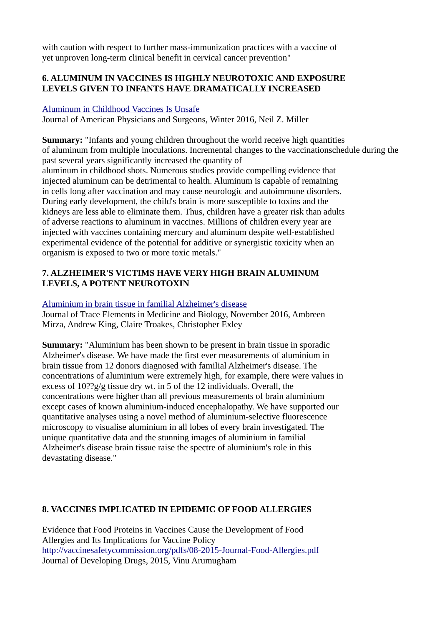with caution with respect to further mass-immunization practices with a vaccine of yet unproven long-term clinical benefit in cervical cancer prevention"

## **6. ALUMINUM IN VACCINES IS HIGHLY NEUROTOXIC AND EXPOSURE LEVELS GIVEN TO INFANTS HAVE DRAMATICALLY INCREASED**

#### [Aluminum in Childhood Vaccines Is Unsafe](http://vaccinesafetycommission.org/pdfs/06-2016-JPANS-Aluminum-Unsafe.pdf)

Journal of American Physicians and Surgeons, Winter 2016, Neil Z. Miller

**Summary:** "Infants and young children throughout the world receive high quantities of aluminum from multiple inoculations. Incremental changes to the vaccinationschedule during the past several years significantly increased the quantity of aluminum in childhood shots. Numerous studies provide compelling evidence that injected aluminum can be detrimental to health. Aluminum is capable of remaining in cells long after vaccination and may cause neurologic and autoimmune disorders. During early development, the child's brain is more susceptible to toxins and the kidneys are less able to eliminate them. Thus, children have a greater risk than adults of adverse reactions to aluminum in vaccines. Millions of children every year are injected with vaccines containing mercury and aluminum despite well-established experimental evidence of the potential for additive or synergistic toxicity when an organism is exposed to two or more toxic metals."

## **7. ALZHEIMER'S VICTIMS HAVE VERY HIGH BRAIN ALUMINUM LEVELS, A POTENT NEUROTOXIN**

#### [Aluminium in brain tissue in familial Alzheimer's disease](http://vaccinesafetycommission.org/pdfs/07-2016-Toxicology-Aluminum-in-Brain.pdf)

Journal of Trace Elements in Medicine and Biology, November 2016, Ambreen Mirza, Andrew King, Claire Troakes, Christopher Exley

**Summary:** "Aluminium has been shown to be present in brain tissue in sporadic Alzheimer's disease. We have made the first ever measurements of aluminium in brain tissue from 12 donors diagnosed with familial Alzheimer's disease. The concentrations of aluminium were extremely high, for example, there were values in excess of 10??g/g tissue dry wt. in 5 of the 12 individuals. Overall, the concentrations were higher than all previous measurements of brain aluminium except cases of known aluminium-induced encephalopathy. We have supported our quantitative analyses using a novel method of aluminium-selective fluorescence microscopy to visualise aluminium in all lobes of every brain investigated. The unique quantitative data and the stunning images of aluminium in familial Alzheimer's disease brain tissue raise the spectre of aluminium's role in this devastating disease."

## **8. VACCINES IMPLICATED IN EPIDEMIC OF FOOD ALLERGIES**

Evidence that Food Proteins in Vaccines Cause the Development of Food Allergies and Its Implications for Vaccine Policy <http://vaccinesafetycommission.org/pdfs/08-2015-Journal-Food-Allergies.pdf> Journal of Developing Drugs, 2015, Vinu Arumugham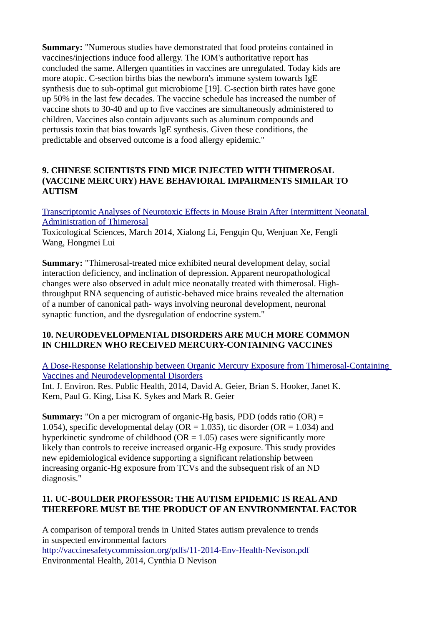**Summary:** "Numerous studies have demonstrated that food proteins contained in vaccines/injections induce food allergy. The IOM's authoritative report has concluded the same. Allergen quantities in vaccines are unregulated. Today kids are more atopic. C-section births bias the newborn's immune system towards IgE synthesis due to sub-optimal gut microbiome [19]. C-section birth rates have gone up 50% in the last few decades. The vaccine schedule has increased the number of vaccine shots to 30-40 and up to five vaccines are simultaneously administered to children. Vaccines also contain adjuvants such as aluminum compounds and pertussis toxin that bias towards IgE synthesis. Given these conditions, the predictable and observed outcome is a food allergy epidemic."

## **9. CHINESE SCIENTISTS FIND MICE INJECTED WITH THIMEROSAL (VACCINE MERCURY) HAVE BEHAVIORAL IMPAIRMENTS SIMILAR TO AUTISM**

[Transcriptomic Analyses of Neurotoxic Effects in Mouse Brain After Intermittent Neonatal](http://vaccinesafetycommission.org/pdfs/09-2014-Toxicolog-Li.pdf)  [Administration of Thimerosal](http://vaccinesafetycommission.org/pdfs/09-2014-Toxicolog-Li.pdf)

Toxicological Sciences, March 2014, Xialong Li, Fengqin Qu, Wenjuan Xe, Fengli Wang, Hongmei Lui

**Summary:** "Thimerosal-treated mice exhibited neural development delay, social interaction deficiency, and inclination of depression. Apparent neuropathological changes were also observed in adult mice neonatally treated with thimerosal. Highthroughput RNA sequencing of autistic-behaved mice brains revealed the alternation of a number of canonical path- ways involving neuronal development, neuronal synaptic function, and the dysregulation of endocrine system."

## **10. NEURODEVELOPMENTAL DISORDERS ARE MUCH MORE COMMON IN CHILDREN WHO RECEIVED MERCURY-CONTAINING VACCINES**

[A Dose-Response Relationship between Organic Mercury Exposure from Thimerosal-Containing](http://vaccinesafetycommission.org/pdfs/10-2014-Int-J-Environ-Mercury-Geier.pdf)  [Vaccines and Neurodevelopmental Disorders](http://vaccinesafetycommission.org/pdfs/10-2014-Int-J-Environ-Mercury-Geier.pdf)

Int. J. Environ. Res. Public Health, 2014, David A. Geier, Brian S. Hooker, Janet K. Kern, Paul G. King, Lisa K. Sykes and Mark R. Geier

**Summary:** "On a per microgram of organic-Hg basis, PDD (odds ratio (OR) = 1.054), specific developmental delay (OR = 1.035), tic disorder (OR = 1.034) and hyperkinetic syndrome of childhood ( $OR = 1.05$ ) cases were significantly more likely than controls to receive increased organic-Hg exposure. This study provides new epidemiological evidence supporting a significant relationship between increasing organic-Hg exposure from TCVs and the subsequent risk of an ND diagnosis."

## **11. UC-BOULDER PROFESSOR: THE AUTISM EPIDEMIC IS REAL AND THEREFORE MUST BE THE PRODUCT OF AN ENVIRONMENTAL FACTOR**

A comparison of temporal trends in United States autism prevalence to trends in suspected environmental factors <http://vaccinesafetycommission.org/pdfs/11-2014-Env-Health-Nevison.pdf> Environmental Health, 2014, Cynthia D Nevison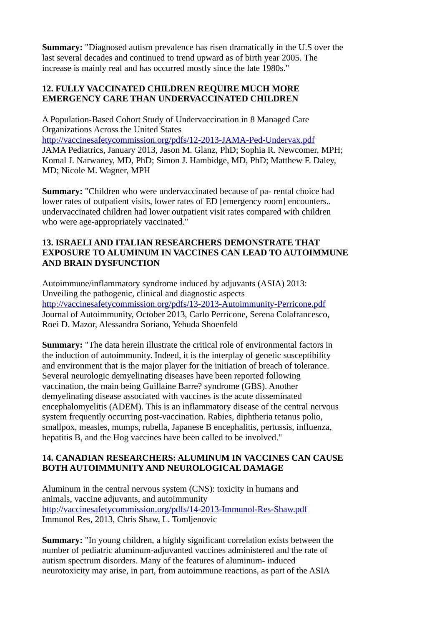**Summary:** "Diagnosed autism prevalence has risen dramatically in the U.S over the last several decades and continued to trend upward as of birth year 2005. The increase is mainly real and has occurred mostly since the late 1980s."

## **12. FULLY VACCINATED CHILDREN REQUIRE MUCH MORE EMERGENCY CARE THAN UNDERVACCINATED CHILDREN**

A Population-Based Cohort Study of Undervaccination in 8 Managed Care Organizations Across the United States <http://vaccinesafetycommission.org/pdfs/12-2013-JAMA-Ped-Undervax.pdf> JAMA Pediatrics, January 2013, Jason M. Glanz, PhD; Sophia R. Newcomer, MPH; Komal J. Narwaney, MD, PhD; Simon J. Hambidge, MD, PhD; Matthew F. Daley, MD; Nicole M. Wagner, MPH

**Summary:** "Children who were undervaccinated because of pa- rental choice had lower rates of outpatient visits, lower rates of ED [emergency room] encounters.. undervaccinated children had lower outpatient visit rates compared with children who were age-appropriately vaccinated."

## **13. ISRAELI AND ITALIAN RESEARCHERS DEMONSTRATE THAT EXPOSURE TO ALUMINUM IN VACCINES CAN LEAD TO AUTOIMMUNE AND BRAIN DYSFUNCTION**

Autoimmune/inflammatory syndrome induced by adjuvants (ASIA) 2013: Unveiling the pathogenic, clinical and diagnostic aspects <http://vaccinesafetycommission.org/pdfs/13-2013-Autoimmunity-Perricone.pdf> Journal of Autoimmunity, October 2013, Carlo Perricone, Serena Colafrancesco, Roei D. Mazor, Alessandra Soriano, Yehuda Shoenfeld

**Summary:** "The data herein illustrate the critical role of environmental factors in the induction of autoimmunity. Indeed, it is the interplay of genetic susceptibility and environment that is the major player for the initiation of breach of tolerance. Several neurologic demyelinating diseases have been reported following vaccination, the main being Guillaine Barre? syndrome (GBS). Another demyelinating disease associated with vaccines is the acute disseminated encephalomyelitis (ADEM). This is an inflammatory disease of the central nervous system frequently occurring post-vaccination. Rabies, diphtheria tetanus polio, smallpox, measles, mumps, rubella, Japanese B encephalitis, pertussis, influenza, hepatitis B, and the Hog vaccines have been called to be involved."

## **14. CANADIAN RESEARCHERS: ALUMINUM IN VACCINES CAN CAUSE BOTH AUTOIMMUNITY AND NEUROLOGICAL DAMAGE**

Aluminum in the central nervous system (CNS): toxicity in humans and animals, vaccine adjuvants, and autoimmunity <http://vaccinesafetycommission.org/pdfs/14-2013-Immunol-Res-Shaw.pdf> Immunol Res, 2013, Chris Shaw, L. Tomljenovic

**Summary:** "In young children, a highly significant correlation exists between the number of pediatric aluminum-adjuvanted vaccines administered and the rate of autism spectrum disorders. Many of the features of aluminum- induced neurotoxicity may arise, in part, from autoimmune reactions, as part of the ASIA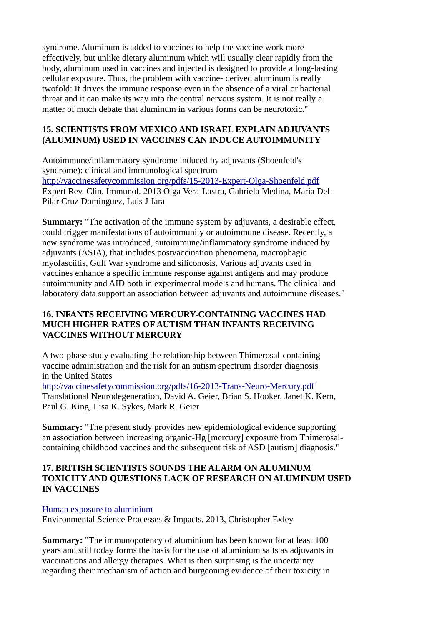syndrome. Aluminum is added to vaccines to help the vaccine work more effectively, but unlike dietary aluminum which will usually clear rapidly from the body, aluminum used in vaccines and injected is designed to provide a long-lasting cellular exposure. Thus, the problem with vaccine- derived aluminum is really twofold: It drives the immune response even in the absence of a viral or bacterial threat and it can make its way into the central nervous system. It is not really a matter of much debate that aluminum in various forms can be neurotoxic."

#### **15. SCIENTISTS FROM MEXICO AND ISRAEL EXPLAIN ADJUVANTS (ALUMINUM) USED IN VACCINES CAN INDUCE AUTOIMMUNITY**

Autoimmune/inflammatory syndrome induced by adjuvants (Shoenfeld's syndrome): clinical and immunological spectrum <http://vaccinesafetycommission.org/pdfs/15-2013-Expert-Olga-Shoenfeld.pdf> Expert Rev. Clin. Immunol. 2013 Olga Vera-Lastra, Gabriela Medina, Maria Del-Pilar Cruz Dominguez, Luis J Jara

**Summary:** "The activation of the immune system by adjuvants, a desirable effect, could trigger manifestations of autoimmunity or autoimmune disease. Recently, a new syndrome was introduced, autoimmune/inflammatory syndrome induced by adjuvants (ASIA), that includes postvaccination phenomena, macrophagic myofasciitis, Gulf War syndrome and siliconosis. Various adjuvants used in vaccines enhance a specific immune response against antigens and may produce autoimmunity and AID both in experimental models and humans. The clinical and laboratory data support an association between adjuvants and autoimmune diseases."

## **16. INFANTS RECEIVING MERCURY-CONTAINING VACCINES HAD MUCH HIGHER RATES OF AUTISM THAN INFANTS RECEIVING VACCINES WITHOUT MERCURY**

A two-phase study evaluating the relationship between Thimerosal-containing vaccine administration and the risk for an autism spectrum disorder diagnosis in the United States

<http://vaccinesafetycommission.org/pdfs/16-2013-Trans-Neuro-Mercury.pdf> Translational Neurodegeneration, David A. Geier, Brian S. Hooker, Janet K. Kern, Paul G. King, Lisa K. Sykes, Mark R. Geier

**Summary:** "The present study provides new epidemiological evidence supporting an association between increasing organic-Hg [mercury] exposure from Thimerosalcontaining childhood vaccines and the subsequent risk of ASD [autism] diagnosis."

### **17. BRITISH SCIENTISTS SOUNDS THE ALARM ON ALUMINUM TOXICITY AND QUESTIONS LACK OF RESEARCH ON ALUMINUM USED IN VACCINES**

## [Human exposure to aluminium](http://vaccinesafetycommission.org/pdfs/17-2013-Environmental-Exley.pdf)

Environmental Science Processes & Impacts, 2013, Christopher Exley

**Summary:** "The immunopotency of aluminium has been known for at least 100 years and still today forms the basis for the use of aluminium salts as adjuvants in vaccinations and allergy therapies. What is then surprising is the uncertainty regarding their mechanism of action and burgeoning evidence of their toxicity in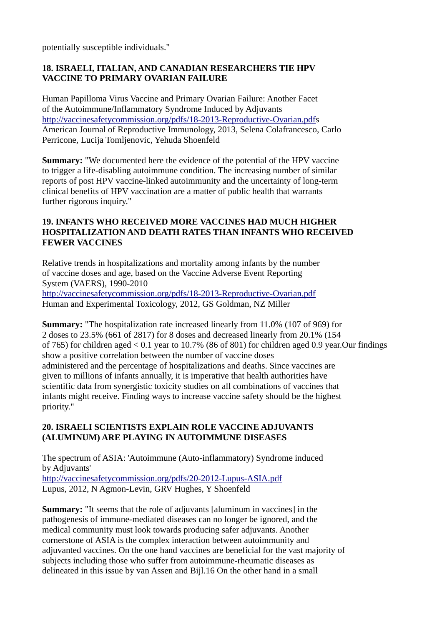potentially susceptible individuals."

## **18. ISRAELI, ITALIAN, AND CANADIAN RESEARCHERS TIE HPV VACCINE TO PRIMARY OVARIAN FAILURE**

Human Papilloma Virus Vaccine and Primary Ovarian Failure: Another Facet of the Autoimmune/Inflammatory Syndrome Induced by Adjuvants [http://vaccinesafetycommission.org/pdfs/18-2013-Reproductive-Ovarian.pdfs](http://vaccinesafetycommission.org/pdfs/18-2013-Reproductive-Ovarian.pdf) American Journal of Reproductive Immunology, 2013, Selena Colafrancesco, Carlo Perricone, Lucija Tomljenovic, Yehuda Shoenfeld

**Summary:** "We documented here the evidence of the potential of the HPV vaccine to trigger a life-disabling autoimmune condition. The increasing number of similar reports of post HPV vaccine-linked autoimmunity and the uncertainty of long-term clinical benefits of HPV vaccination are a matter of public health that warrants further rigorous inquiry."

## **19. INFANTS WHO RECEIVED MORE VACCINES HAD MUCH HIGHER HOSPITALIZATION AND DEATH RATES THAN INFANTS WHO RECEIVED FEWER VACCINES**

Relative trends in hospitalizations and mortality among infants by the number of vaccine doses and age, based on the Vaccine Adverse Event Reporting System (VAERS), 1990-2010

<http://vaccinesafetycommission.org/pdfs/18-2013-Reproductive-Ovarian.pdf> Human and Experimental Toxicology, 2012, GS Goldman, NZ Miller

**Summary:** "The hospitalization rate increased linearly from 11.0% (107 of 969) for 2 doses to 23.5% (661 of 2817) for 8 doses and decreased linearly from 20.1% (154 of 765) for children aged < 0.1 year to 10.7% (86 of 801) for children aged 0.9 year.Our findings show a positive correlation between the number of vaccine doses administered and the percentage of hospitalizations and deaths. Since vaccines are given to millions of infants annually, it is imperative that health authorities have scientific data from synergistic toxicity studies on all combinations of vaccines that infants might receive. Finding ways to increase vaccine safety should be the highest priority."

## **20. ISRAELI SCIENTISTS EXPLAIN ROLE VACCINE ADJUVANTS (ALUMINUM) ARE PLAYING IN AUTOIMMUNE DISEASES**

The spectrum of ASIA: 'Autoimmune (Auto-inflammatory) Syndrome induced by Adjuvants' <http://vaccinesafetycommission.org/pdfs/20-2012-Lupus-ASIA.pdf> Lupus, 2012, N Agmon-Levin, GRV Hughes, Y Shoenfeld

**Summary:** "It seems that the role of adjuvants [aluminum in vaccines] in the pathogenesis of immune-mediated diseases can no longer be ignored, and the medical community must look towards producing safer adjuvants. Another cornerstone of ASIA is the complex interaction between autoimmunity and adjuvanted vaccines. On the one hand vaccines are beneficial for the vast majority of subjects including those who suffer from autoimmune-rheumatic diseases as delineated in this issue by van Assen and Bijl.16 On the other hand in a small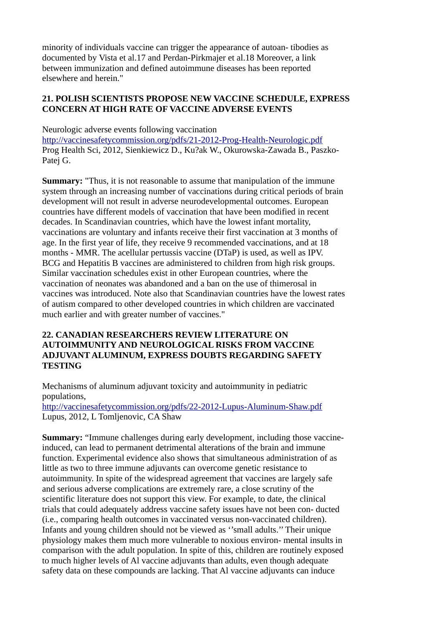minority of individuals vaccine can trigger the appearance of autoan- tibodies as documented by Vista et al.17 and Perdan-Pirkmajer et al.18 Moreover, a link between immunization and defined autoimmune diseases has been reported elsewhere and herein."

#### **21. POLISH SCIENTISTS PROPOSE NEW VACCINE SCHEDULE, EXPRESS CONCERN AT HIGH RATE OF VACCINE ADVERSE EVENTS**

Neurologic adverse events following vaccination <http://vaccinesafetycommission.org/pdfs/21-2012-Prog-Health-Neurologic.pdf> Prog Health Sci, 2012, Sienkiewicz D., Ku?ak W., Okurowska-Zawada B., Paszko-Patej G.

**Summary:** "Thus, it is not reasonable to assume that manipulation of the immune system through an increasing number of vaccinations during critical periods of brain development will not result in adverse neurodevelopmental outcomes. European countries have different models of vaccination that have been modified in recent decades. In Scandinavian countries, which have the lowest infant mortality, vaccinations are voluntary and infants receive their first vaccination at 3 months of age. In the first year of life, they receive 9 recommended vaccinations, and at 18 months - MMR. The acellular pertussis vaccine (DTaP) is used, as well as IPV. BCG and Hepatitis B vaccines are administered to children from high risk groups. Similar vaccination schedules exist in other European countries, where the vaccination of neonates was abandoned and a ban on the use of thimerosal in vaccines was introduced. Note also that Scandinavian countries have the lowest rates of autism compared to other developed countries in which children are vaccinated much earlier and with greater number of vaccines."

## **22. CANADIAN RESEARCHERS REVIEW LITERATURE ON AUTOIMMUNITY AND NEUROLOGICAL RISKS FROM VACCINE ADJUVANT ALUMINUM, EXPRESS DOUBTS REGARDING SAFETY TESTING**

Mechanisms of aluminum adjuvant toxicity and autoimmunity in pediatric populations,

<http://vaccinesafetycommission.org/pdfs/22-2012-Lupus-Aluminum-Shaw.pdf> Lupus, 2012, L Tomljenovic, CA Shaw

**Summary:** "Immune challenges during early development, including those vaccineinduced, can lead to permanent detrimental alterations of the brain and immune function. Experimental evidence also shows that simultaneous administration of as little as two to three immune adjuvants can overcome genetic resistance to autoimmunity. In spite of the widespread agreement that vaccines are largely safe and serious adverse complications are extremely rare, a close scrutiny of the scientific literature does not support this view. For example, to date, the clinical trials that could adequately address vaccine safety issues have not been con- ducted (i.e., comparing health outcomes in vaccinated versus non-vaccinated children). Infants and young children should not be viewed as ''small adults.'' Their unique physiology makes them much more vulnerable to noxious environ- mental insults in comparison with the adult population. In spite of this, children are routinely exposed to much higher levels of Al vaccine adjuvants than adults, even though adequate safety data on these compounds are lacking. That Al vaccine adjuvants can induce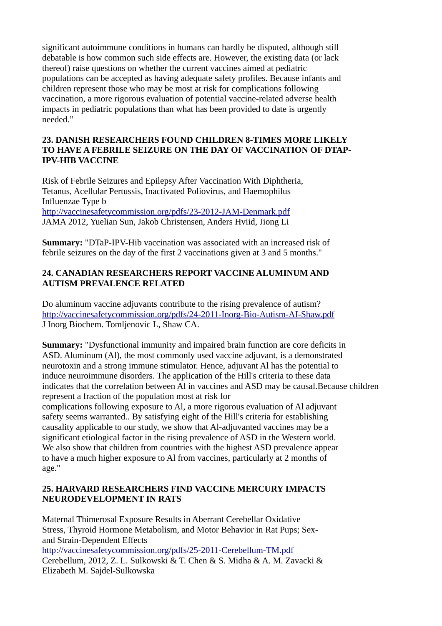significant autoimmune conditions in humans can hardly be disputed, although still debatable is how common such side effects are. However, the existing data (or lack thereof) raise questions on whether the current vaccines aimed at pediatric populations can be accepted as having adequate safety profiles. Because infants and children represent those who may be most at risk for complications following vaccination, a more rigorous evaluation of potential vaccine-related adverse health impacts in pediatric populations than what has been provided to date is urgently needed."

## **23. DANISH RESEARCHERS FOUND CHILDREN 8-TIMES MORE LIKELY TO HAVE A FEBRILE SEIZURE ON THE DAY OF VACCINATION OF DTAP-IPV-HIB VACCINE**

Risk of Febrile Seizures and Epilepsy After Vaccination With Diphtheria, Tetanus, Acellular Pertussis, Inactivated Poliovirus, and Haemophilus Influenzae Type b <http://vaccinesafetycommission.org/pdfs/23-2012-JAM-Denmark.pdf> JAMA 2012, Yuelian Sun, Jakob Christensen, Anders Hviid, Jiong Li

**Summary:** "DTaP-IPV-Hib vaccination was associated with an increased risk of febrile seizures on the day of the first 2 vaccinations given at 3 and 5 months."

## **24. CANADIAN RESEARCHERS REPORT VACCINE ALUMINUM AND AUTISM PREVALENCE RELATED**

Do aluminum vaccine adjuvants contribute to the rising prevalence of autism? <http://vaccinesafetycommission.org/pdfs/24-2011-Inorg-Bio-Autism-AI-Shaw.pdf> J Inorg Biochem. Tomljenovic L, Shaw CA.

**Summary:** "Dysfunctional immunity and impaired brain function are core deficits in ASD. Aluminum (Al), the most commonly used vaccine adjuvant, is a demonstrated neurotoxin and a strong immune stimulator. Hence, adjuvant Al has the potential to induce neuroimmune disorders. The application of the Hill's criteria to these data indicates that the correlation between Al in vaccines and ASD may be causal.Because children represent a fraction of the population most at risk for

complications following exposure to Al, a more rigorous evaluation of Al adjuvant safety seems warranted.. By satisfying eight of the Hill's criteria for establishing causality applicable to our study, we show that Al-adjuvanted vaccines may be a significant etiological factor in the rising prevalence of ASD in the Western world. We also show that children from countries with the highest ASD prevalence appear to have a much higher exposure to Al from vaccines, particularly at 2 months of age."

## **25. HARVARD RESEARCHERS FIND VACCINE MERCURY IMPACTS NEURODEVELOPMENT IN RATS**

Maternal Thimerosal Exposure Results in Aberrant Cerebellar Oxidative Stress, Thyroid Hormone Metabolism, and Motor Behavior in Rat Pups; Sexand Strain-Dependent Effects <http://vaccinesafetycommission.org/pdfs/25-2011-Cerebellum-TM.pdf> Cerebellum, 2012, Z. L. Sulkowski & T. Chen & S. Midha & A. M. Zavacki & Elizabeth M. Sajdel-Sulkowska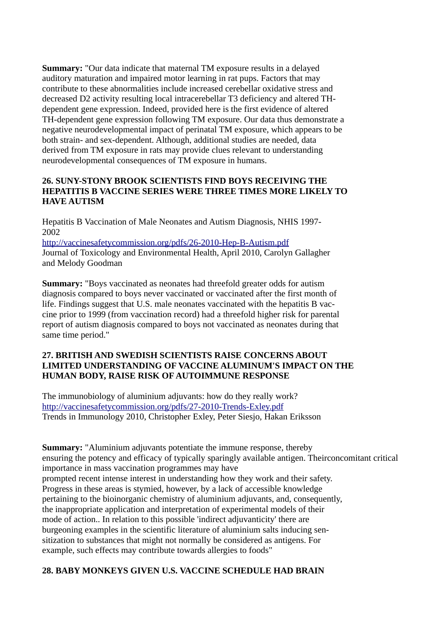**Summary:** "Our data indicate that maternal TM exposure results in a delayed auditory maturation and impaired motor learning in rat pups. Factors that may contribute to these abnormalities include increased cerebellar oxidative stress and decreased D2 activity resulting local intracerebellar T3 deficiency and altered THdependent gene expression. Indeed, provided here is the first evidence of altered TH-dependent gene expression following TM exposure. Our data thus demonstrate a negative neurodevelopmental impact of perinatal TM exposure, which appears to be both strain- and sex-dependent. Although, additional studies are needed, data derived from TM exposure in rats may provide clues relevant to understanding neurodevelopmental consequences of TM exposure in humans.

## **26. SUNY-STONY BROOK SCIENTISTS FIND BOYS RECEIVING THE HEPATITIS B VACCINE SERIES WERE THREE TIMES MORE LIKELY TO HAVE AUTISM**

Hepatitis B Vaccination of Male Neonates and Autism Diagnosis, NHIS 1997- 2002

<http://vaccinesafetycommission.org/pdfs/26-2010-Hep-B-Autism.pdf> Journal of Toxicology and Environmental Health, April 2010, Carolyn Gallagher and Melody Goodman

**Summary:** "Boys vaccinated as neonates had threefold greater odds for autism diagnosis compared to boys never vaccinated or vaccinated after the first month of life. Findings suggest that U.S. male neonates vaccinated with the hepatitis B vaccine prior to 1999 (from vaccination record) had a threefold higher risk for parental report of autism diagnosis compared to boys not vaccinated as neonates during that same time period."

### **27. BRITISH AND SWEDISH SCIENTISTS RAISE CONCERNS ABOUT LIMITED UNDERSTANDING OF VACCINE ALUMINUM'S IMPACT ON THE HUMAN BODY, RAISE RISK OF AUTOIMMUNE RESPONSE**

The immunobiology of aluminium adjuvants: how do they really work? <http://vaccinesafetycommission.org/pdfs/27-2010-Trends-Exley.pdf> Trends in Immunology 2010, Christopher Exley, Peter Siesjo, Hakan Eriksson

**Summary:** "Aluminium adjuvants potentiate the immune response, thereby ensuring the potency and efficacy of typically sparingly available antigen. Theirconcomitant critical importance in mass vaccination programmes may have prompted recent intense interest in understanding how they work and their safety. Progress in these areas is stymied, however, by a lack of accessible knowledge pertaining to the bioinorganic chemistry of aluminium adjuvants, and, consequently, the inappropriate application and interpretation of experimental models of their mode of action.. In relation to this possible 'indirect adjuvanticity' there are burgeoning examples in the scientific literature of aluminium salts inducing sensitization to substances that might not normally be considered as antigens. For example, such effects may contribute towards allergies to foods"

## **28. BABY MONKEYS GIVEN U.S. VACCINE SCHEDULE HAD BRAIN**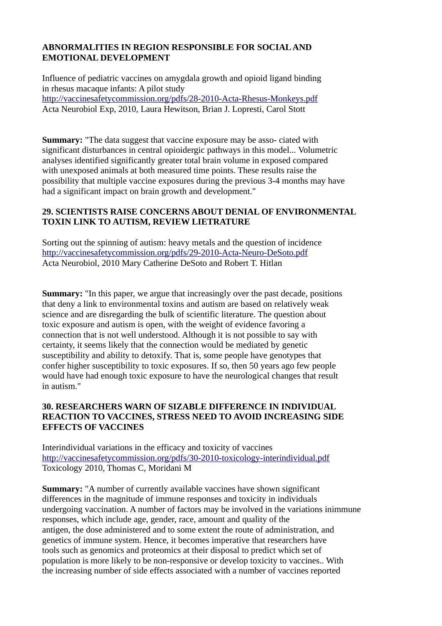## **ABNORMALITIES IN REGION RESPONSIBLE FOR SOCIAL AND EMOTIONAL DEVELOPMENT**

Influence of pediatric vaccines on amygdala growth and opioid ligand binding in rhesus macaque infants: A pilot study <http://vaccinesafetycommission.org/pdfs/28-2010-Acta-Rhesus-Monkeys.pdf> Acta Neurobiol Exp, 2010, Laura Hewitson, Brian J. Lopresti, Carol Stott

**Summary:** "The data suggest that vaccine exposure may be asso- ciated with significant disturbances in central opioidergic pathways in this model... Volumetric analyses identified significantly greater total brain volume in exposed compared with unexposed animals at both measured time points. These results raise the possibility that multiple vaccine exposures during the previous 3-4 months may have had a significant impact on brain growth and development."

## **29. SCIENTISTS RAISE CONCERNS ABOUT DENIAL OF ENVIRONMENTAL TOXIN LINK TO AUTISM, REVIEW LIETRATURE**

Sorting out the spinning of autism: heavy metals and the question of incidence <http://vaccinesafetycommission.org/pdfs/29-2010-Acta-Neuro-DeSoto.pdf> Acta Neurobiol, 2010 Mary Catherine DeSoto and Robert T. Hitlan

**Summary:** "In this paper, we argue that increasingly over the past decade, positions that deny a link to environmental toxins and autism are based on relatively weak science and are disregarding the bulk of scientific literature. The question about toxic exposure and autism is open, with the weight of evidence favoring a connection that is not well understood. Although it is not possible to say with certainty, it seems likely that the connection would be mediated by genetic susceptibility and ability to detoxify. That is, some people have genotypes that confer higher susceptibility to toxic exposures. If so, then 50 years ago few people would have had enough toxic exposure to have the neurological changes that result in autism."

## **30. RESEARCHERS WARN OF SIZABLE DIFFERENCE IN INDIVIDUAL REACTION TO VACCINES, STRESS NEED TO AVOID INCREASING SIDE EFFECTS OF VACCINES**

Interindividual variations in the efficacy and toxicity of vaccines <http://vaccinesafetycommission.org/pdfs/30-2010-toxicology-interindividual.pdf> Toxicology 2010, Thomas C, Moridani M

**Summary:** "A number of currently available vaccines have shown significant differences in the magnitude of immune responses and toxicity in individuals undergoing vaccination. A number of factors may be involved in the variations inimmune responses, which include age, gender, race, amount and quality of the antigen, the dose administered and to some extent the route of administration, and genetics of immune system. Hence, it becomes imperative that researchers have tools such as genomics and proteomics at their disposal to predict which set of population is more likely to be non-responsive or develop toxicity to vaccines.. With the increasing number of side effects associated with a number of vaccines reported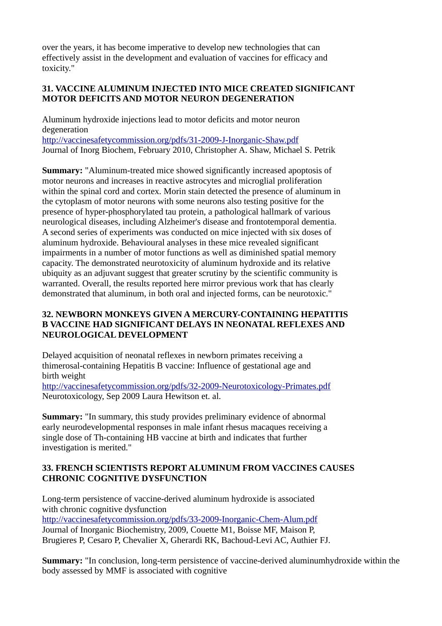over the years, it has become imperative to develop new technologies that can effectively assist in the development and evaluation of vaccines for efficacy and toxicity."

## **31. VACCINE ALUMINUM INJECTED INTO MICE CREATED SIGNIFICANT MOTOR DEFICITS AND MOTOR NEURON DEGENERATION**

Aluminum hydroxide injections lead to motor deficits and motor neuron degeneration <http://vaccinesafetycommission.org/pdfs/31-2009-J-Inorganic-Shaw.pdf> Journal of Inorg Biochem, February 2010, Christopher A. Shaw, Michael S. Petrik

**Summary:** "Aluminum-treated mice showed significantly increased apoptosis of motor neurons and increases in reactive astrocytes and microglial proliferation within the spinal cord and cortex. Morin stain detected the presence of aluminum in the cytoplasm of motor neurons with some neurons also testing positive for the presence of hyper-phosphorylated tau protein, a pathological hallmark of various neurological diseases, including Alzheimer's disease and frontotemporal dementia. A second series of experiments was conducted on mice injected with six doses of aluminum hydroxide. Behavioural analyses in these mice revealed significant impairments in a number of motor functions as well as diminished spatial memory capacity. The demonstrated neurotoxicity of aluminum hydroxide and its relative ubiquity as an adjuvant suggest that greater scrutiny by the scientific community is warranted. Overall, the results reported here mirror previous work that has clearly demonstrated that aluminum, in both oral and injected forms, can be neurotoxic."

## **32. NEWBORN MONKEYS GIVEN A MERCURY-CONTAINING HEPATITIS B VACCINE HAD SIGNIFICANT DELAYS IN NEONATAL REFLEXES AND NEUROLOGICAL DEVELOPMENT**

Delayed acquisition of neonatal reflexes in newborn primates receiving a thimerosal-containing Hepatitis B vaccine: Influence of gestational age and birth weight

<http://vaccinesafetycommission.org/pdfs/32-2009-Neurotoxicology-Primates.pdf> Neurotoxicology, Sep 2009 Laura Hewitson et. al.

**Summary:** "In summary, this study provides preliminary evidence of abnormal early neurodevelopmental responses in male infant rhesus macaques receiving a single dose of Th-containing HB vaccine at birth and indicates that further investigation is merited."

## **33. FRENCH SCIENTISTS REPORT ALUMINUM FROM VACCINES CAUSES CHRONIC COGNITIVE DYSFUNCTION**

Long-term persistence of vaccine-derived aluminum hydroxide is associated with chronic cognitive dysfunction <http://vaccinesafetycommission.org/pdfs/33-2009-Inorganic-Chem-Alum.pdf> Journal of Inorganic Biochemistry, 2009, Couette M1, Boisse MF, Maison P, Brugieres P, Cesaro P, Chevalier X, Gherardi RK, Bachoud-Levi AC, Authier FJ.

**Summary:** "In conclusion, long-term persistence of vaccine-derived aluminumhydroxide within the body assessed by MMF is associated with cognitive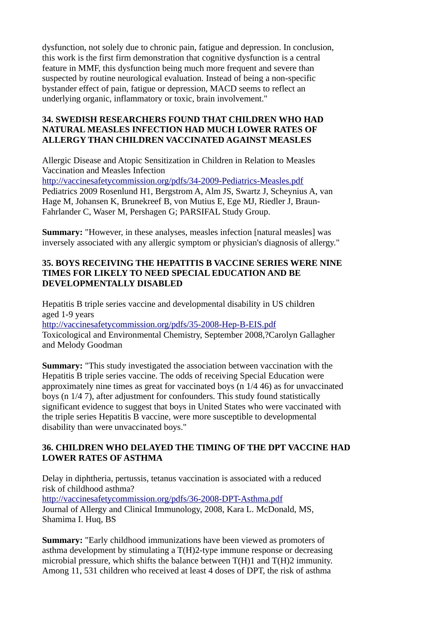dysfunction, not solely due to chronic pain, fatigue and depression. In conclusion, this work is the first firm demonstration that cognitive dysfunction is a central feature in MMF, this dysfunction being much more frequent and severe than suspected by routine neurological evaluation. Instead of being a non-specific bystander effect of pain, fatigue or depression, MACD seems to reflect an underlying organic, inflammatory or toxic, brain involvement."

## **34. SWEDISH RESEARCHERS FOUND THAT CHILDREN WHO HAD NATURAL MEASLES INFECTION HAD MUCH LOWER RATES OF ALLERGY THAN CHILDREN VACCINATED AGAINST MEASLES**

Allergic Disease and Atopic Sensitization in Children in Relation to Measles Vaccination and Measles Infection

<http://vaccinesafetycommission.org/pdfs/34-2009-Pediatrics-Measles.pdf> Pediatrics 2009 Rosenlund H1, Bergstrom A, Alm JS, Swartz J, Scheynius A, van Hage M, Johansen K, Brunekreef B, von Mutius E, Ege MJ, Riedler J, Braun-Fahrlander C, Waser M, Pershagen G; PARSIFAL Study Group.

**Summary:** "However, in these analyses, measles infection [natural measles] was inversely associated with any allergic symptom or physician's diagnosis of allergy."

### **35. BOYS RECEIVING THE HEPATITIS B VACCINE SERIES WERE NINE TIMES FOR LIKELY TO NEED SPECIAL EDUCATION AND BE DEVELOPMENTALLY DISABLED**

Hepatitis B triple series vaccine and developmental disability in US children aged 1-9 years <http://vaccinesafetycommission.org/pdfs/35-2008-Hep-B-EIS.pdf> Toxicological and Environmental Chemistry, September 2008,?Carolyn Gallagher and Melody Goodman

**Summary:** "This study investigated the association between vaccination with the Hepatitis B triple series vaccine. The odds of receiving Special Education were approximately nine times as great for vaccinated boys (n 1/4 46) as for unvaccinated boys (n 1/4 7), after adjustment for confounders. This study found statistically significant evidence to suggest that boys in United States who were vaccinated with the triple series Hepatitis B vaccine, were more susceptible to developmental disability than were unvaccinated boys."

## **36. CHILDREN WHO DELAYED THE TIMING OF THE DPT VACCINE HAD LOWER RATES OF ASTHMA**

Delay in diphtheria, pertussis, tetanus vaccination is associated with a reduced risk of childhood asthma? <http://vaccinesafetycommission.org/pdfs/36-2008-DPT-Asthma.pdf> Journal of Allergy and Clinical Immunology, 2008, Kara L. McDonald, MS, Shamima I. Huq, BS

**Summary:** "Early childhood immunizations have been viewed as promoters of asthma development by stimulating a T(H)2-type immune response or decreasing microbial pressure, which shifts the balance between T(H)1 and T(H)2 immunity. Among 11, 531 children who received at least 4 doses of DPT, the risk of asthma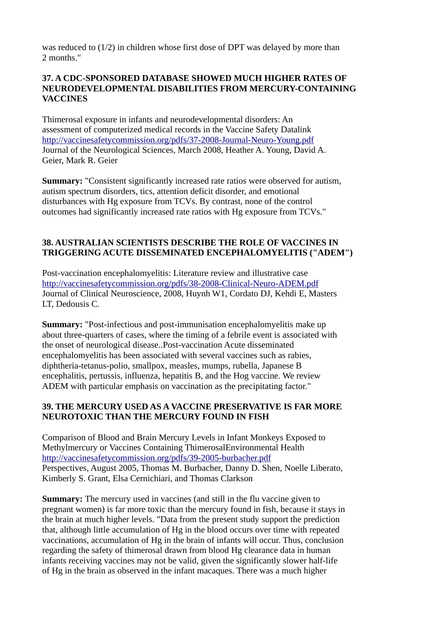was reduced to (1/2) in children whose first dose of DPT was delayed by more than 2 months."

#### **37. A CDC-SPONSORED DATABASE SHOWED MUCH HIGHER RATES OF NEURODEVELOPMENTAL DISABILITIES FROM MERCURY-CONTAINING VACCINES**

Thimerosal exposure in infants and neurodevelopmental disorders: An assessment of computerized medical records in the Vaccine Safety Datalink <http://vaccinesafetycommission.org/pdfs/37-2008-Journal-Neuro-Young.pdf> Journal of the Neurological Sciences, March 2008, Heather A. Young, David A. Geier, Mark R. Geier

**Summary:** "Consistent significantly increased rate ratios were observed for autism, autism spectrum disorders, tics, attention deficit disorder, and emotional disturbances with Hg exposure from TCVs. By contrast, none of the control outcomes had significantly increased rate ratios with Hg exposure from TCVs."

## **38. AUSTRALIAN SCIENTISTS DESCRIBE THE ROLE OF VACCINES IN TRIGGERING ACUTE DISSEMINATED ENCEPHALOMYELITIS ("ADEM")**

Post-vaccination encephalomyelitis: Literature review and illustrative case <http://vaccinesafetycommission.org/pdfs/38-2008-Clinical-Neuro-ADEM.pdf> Journal of Clinical Neuroscience, 2008, Huynh W1, Cordato DJ, Kehdi E, Masters LT, Dedousis C.

**Summary:** "Post-infectious and post-immunisation encephalomyelitis make up about three-quarters of cases, where the timing of a febrile event is associated with the onset of neurological disease..Post-vaccination Acute disseminated encephalomyelitis has been associated with several vaccines such as rabies, diphtheria-tetanus-polio, smallpox, measles, mumps, rubella, Japanese B encephalitis, pertussis, influenza, hepatitis B, and the Hog vaccine. We review ADEM with particular emphasis on vaccination as the precipitating factor."

## **39. THE MERCURY USED AS A VACCINE PRESERVATIVE IS FAR MORE NEUROTOXIC THAN THE MERCURY FOUND IN FISH**

Comparison of Blood and Brain Mercury Levels in Infant Monkeys Exposed to Methylmercury or Vaccines Containing ThimerosalEnvironmental Health <http://vaccinesafetycommission.org/pdfs/39-2005-burbacher.pdf> Perspectives, August 2005, Thomas M. Burbacher, Danny D. Shen, Noelle Liberato, Kimberly S. Grant, Elsa Cernichiari, and Thomas Clarkson

**Summary:** The mercury used in vaccines (and still in the flu vaccine given to pregnant women) is far more toxic than the mercury found in fish, because it stays in the brain at much higher levels. "Data from the present study support the prediction that, although little accumulation of Hg in the blood occurs over time with repeated vaccinations, accumulation of Hg in the brain of infants will occur. Thus, conclusion regarding the safety of thimerosal drawn from blood Hg clearance data in human infants receiving vaccines may not be valid, given the significantly slower half-life of Hg in the brain as observed in the infant macaques. There was a much higher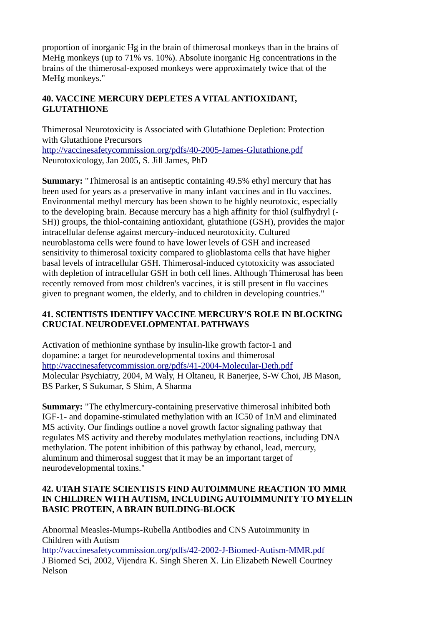proportion of inorganic Hg in the brain of thimerosal monkeys than in the brains of MeHg monkeys (up to 71% vs. 10%). Absolute inorganic Hg concentrations in the brains of the thimerosal-exposed monkeys were approximately twice that of the MeHg monkeys."

## **40. VACCINE MERCURY DEPLETES A VITAL ANTIOXIDANT, GLUTATHIONE**

Thimerosal Neurotoxicity is Associated with Glutathione Depletion: Protection with Glutathione Precursors <http://vaccinesafetycommission.org/pdfs/40-2005-James-Glutathione.pdf> Neurotoxicology, Jan 2005, S. Jill James, PhD

**Summary:** "Thimerosal is an antiseptic containing 49.5% ethyl mercury that has been used for years as a preservative in many infant vaccines and in flu vaccines. Environmental methyl mercury has been shown to be highly neurotoxic, especially to the developing brain. Because mercury has a high affinity for thiol (sulfhydryl (- SH)) groups, the thiol-containing antioxidant, glutathione (GSH), provides the major intracellular defense against mercury-induced neurotoxicity. Cultured neuroblastoma cells were found to have lower levels of GSH and increased sensitivity to thimerosal toxicity compared to glioblastoma cells that have higher basal levels of intracellular GSH. Thimerosal-induced cytotoxicity was associated with depletion of intracellular GSH in both cell lines. Although Thimerosal has been recently removed from most children's vaccines, it is still present in flu vaccines given to pregnant women, the elderly, and to children in developing countries."

## **41. SCIENTISTS IDENTIFY VACCINE MERCURY'S ROLE IN BLOCKING CRUCIAL NEURODEVELOPMENTAL PATHWAYS**

Activation of methionine synthase by insulin-like growth factor-1 and dopamine: a target for neurodevelopmental toxins and thimerosal <http://vaccinesafetycommission.org/pdfs/41-2004-Molecular-Deth.pdf> Molecular Psychiatry, 2004, M Waly, H Oltaneu, R Banerjee, S-W Choi, JB Mason, BS Parker, S Sukumar, S Shim, A Sharma

**Summary:** "The ethylmercury-containing preservative thimerosal inhibited both IGF-1- and dopamine-stimulated methylation with an IC50 of 1nM and eliminated MS activity. Our findings outline a novel growth factor signaling pathway that regulates MS activity and thereby modulates methylation reactions, including DNA methylation. The potent inhibition of this pathway by ethanol, lead, mercury, aluminum and thimerosal suggest that it may be an important target of neurodevelopmental toxins."

## **42. UTAH STATE SCIENTISTS FIND AUTOIMMUNE REACTION TO MMR IN CHILDREN WITH AUTISM, INCLUDING AUTOIMMUNITY TO MYELIN BASIC PROTEIN, A BRAIN BUILDING-BLOCK**

Abnormal Measles-Mumps-Rubella Antibodies and CNS Autoimmunity in Children with Autism <http://vaccinesafetycommission.org/pdfs/42-2002-J-Biomed-Autism-MMR.pdf> J Biomed Sci, 2002, Vijendra K. Singh Sheren X. Lin Elizabeth Newell Courtney Nelson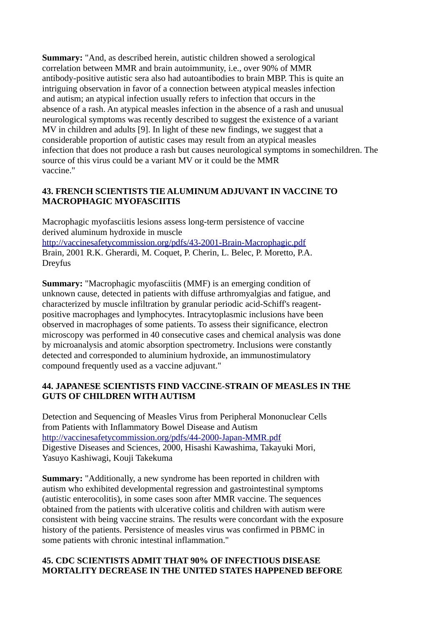**Summary:** "And, as described herein, autistic children showed a serological correlation between MMR and brain autoimmunity, i.e., over 90% of MMR antibody-positive autistic sera also had autoantibodies to brain MBP. This is quite an intriguing observation in favor of a connection between atypical measles infection and autism; an atypical infection usually refers to infection that occurs in the absence of a rash. An atypical measles infection in the absence of a rash and unusual neurological symptoms was recently described to suggest the existence of a variant MV in children and adults [9]. In light of these new findings, we suggest that a considerable proportion of autistic cases may result from an atypical measles infection that does not produce a rash but causes neurological symptoms in somechildren. The source of this virus could be a variant MV or it could be the MMR vaccine."

## **43. FRENCH SCIENTISTS TIE ALUMINUM ADJUVANT IN VACCINE TO MACROPHAGIC MYOFASCIITIS**

Macrophagic myofasciitis lesions assess long-term persistence of vaccine derived aluminum hydroxide in muscle <http://vaccinesafetycommission.org/pdfs/43-2001-Brain-Macrophagic.pdf> Brain, 2001 R.K. Gherardi, M. Coquet, P. Cherin, L. Belec, P. Moretto, P.A. Dreyfus

**Summary:** "Macrophagic myofasciitis (MMF) is an emerging condition of unknown cause, detected in patients with diffuse arthromyalgias and fatigue, and characterized by muscle infiltration by granular periodic acid-Schiff's reagentpositive macrophages and lymphocytes. Intracytoplasmic inclusions have been observed in macrophages of some patients. To assess their significance, electron microscopy was performed in 40 consecutive cases and chemical analysis was done by microanalysis and atomic absorption spectrometry. Inclusions were constantly detected and corresponded to aluminium hydroxide, an immunostimulatory compound frequently used as a vaccine adjuvant."

#### **44. JAPANESE SCIENTISTS FIND VACCINE-STRAIN OF MEASLES IN THE GUTS OF CHILDREN WITH AUTISM**

Detection and Sequencing of Measles Virus from Peripheral Mononuclear Cells from Patients with Inflammatory Bowel Disease and Autism <http://vaccinesafetycommission.org/pdfs/44-2000-Japan-MMR.pdf> Digestive Diseases and Sciences, 2000, Hisashi Kawashima, Takayuki Mori, Yasuyo Kashiwagi, Kouji Takekuma

**Summary:** "Additionally, a new syndrome has been reported in children with autism who exhibited developmental regression and gastrointestinal symptoms (autistic enterocolitis), in some cases soon after MMR vaccine. The sequences obtained from the patients with ulcerative colitis and children with autism were consistent with being vaccine strains. The results were concordant with the exposure history of the patients. Persistence of measles virus was confirmed in PBMC in some patients with chronic intestinal inflammation."

## **45. CDC SCIENTISTS ADMIT THAT 90% OF INFECTIOUS DISEASE MORTALITY DECREASE IN THE UNITED STATES HAPPENED BEFORE**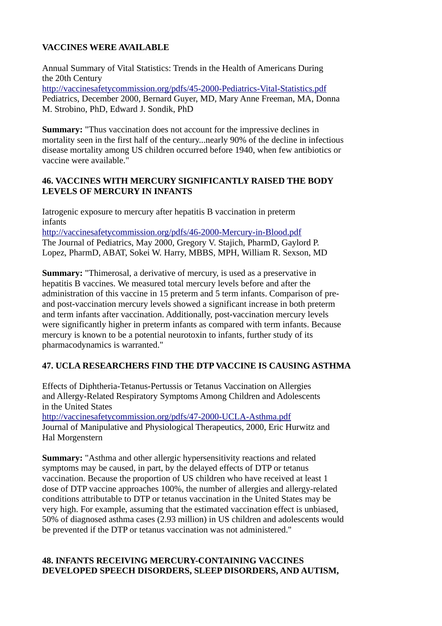## **VACCINES WERE AVAILABLE**

Annual Summary of Vital Statistics: Trends in the Health of Americans During the 20th Century <http://vaccinesafetycommission.org/pdfs/45-2000-Pediatrics-Vital-Statistics.pdf> Pediatrics, December 2000, Bernard Guyer, MD, Mary Anne Freeman, MA, Donna M. Strobino, PhD, Edward J. Sondik, PhD

**Summary:** "Thus vaccination does not account for the impressive declines in mortality seen in the first half of the century...nearly 90% of the decline in infectious disease mortality among US children occurred before 1940, when few antibiotics or vaccine were available."

## **46. VACCINES WITH MERCURY SIGNIFICANTLY RAISED THE BODY LEVELS OF MERCURY IN INFANTS**

Iatrogenic exposure to mercury after hepatitis B vaccination in preterm infants

<http://vaccinesafetycommission.org/pdfs/46-2000-Mercury-in-Blood.pdf> The Journal of Pediatrics, May 2000, Gregory V. Stajich, PharmD, Gaylord P. Lopez, PharmD, ABAT, Sokei W. Harry, MBBS, MPH, William R. Sexson, MD

**Summary:** "Thimerosal, a derivative of mercury, is used as a preservative in hepatitis B vaccines. We measured total mercury levels before and after the administration of this vaccine in 15 preterm and 5 term infants. Comparison of preand post-vaccination mercury levels showed a significant increase in both preterm and term infants after vaccination. Additionally, post-vaccination mercury levels were significantly higher in preterm infants as compared with term infants. Because mercury is known to be a potential neurotoxin to infants, further study of its pharmacodynamics is warranted."

## **47. UCLA RESEARCHERS FIND THE DTP VACCINE IS CAUSING ASTHMA**

Effects of Diphtheria-Tetanus-Pertussis or Tetanus Vaccination on Allergies and Allergy-Related Respiratory Symptoms Among Children and Adolescents in the United States <http://vaccinesafetycommission.org/pdfs/47-2000-UCLA-Asthma.pdf> Journal of Manipulative and Physiological Therapeutics, 2000, Eric Hurwitz and Hal Morgenstern

**Summary:** "Asthma and other allergic hypersensitivity reactions and related symptoms may be caused, in part, by the delayed effects of DTP or tetanus vaccination. Because the proportion of US children who have received at least 1 dose of DTP vaccine approaches 100%, the number of allergies and allergy-related conditions attributable to DTP or tetanus vaccination in the United States may be very high. For example, assuming that the estimated vaccination effect is unbiased, 50% of diagnosed asthma cases (2.93 million) in US children and adolescents would be prevented if the DTP or tetanus vaccination was not administered."

## **48. INFANTS RECEIVING MERCURY-CONTAINING VACCINES DEVELOPED SPEECH DISORDERS, SLEEP DISORDERS, AND AUTISM,**